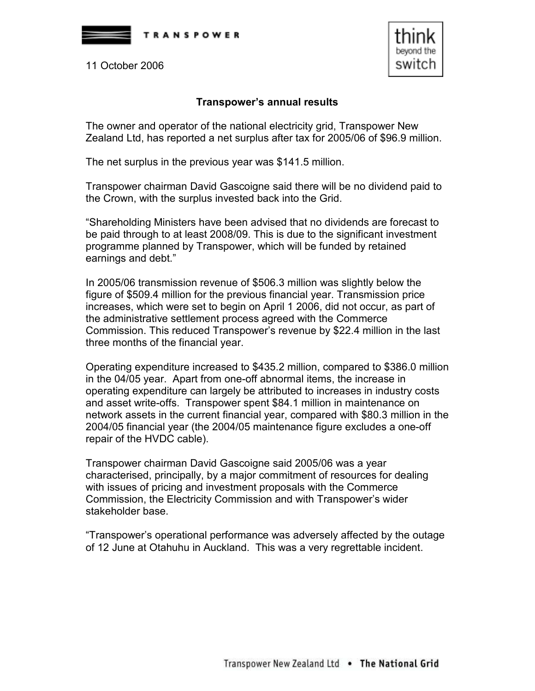

11 October 2006



## Transpower's annual results

The owner and operator of the national electricity grid, Transpower New Zealand Ltd, has reported a net surplus after tax for 2005/06 of \$96.9 million.

The net surplus in the previous year was \$141.5 million.

Transpower chairman David Gascoigne said there will be no dividend paid to the Crown, with the surplus invested back into the Grid.

"Shareholding Ministers have been advised that no dividends are forecast to be paid through to at least 2008/09. This is due to the significant investment programme planned by Transpower, which will be funded by retained earnings and debt."

In 2005/06 transmission revenue of \$506.3 million was slightly below the figure of \$509.4 million for the previous financial year. Transmission price increases, which were set to begin on April 1 2006, did not occur, as part of the administrative settlement process agreed with the Commerce Commission. This reduced Transpower's revenue by \$22.4 million in the last three months of the financial year.

Operating expenditure increased to \$435.2 million, compared to \$386.0 million in the 04/05 year. Apart from one-off abnormal items, the increase in operating expenditure can largely be attributed to increases in industry costs and asset write-offs. Transpower spent \$84.1 million in maintenance on network assets in the current financial year, compared with \$80.3 million in the 2004/05 financial year (the 2004/05 maintenance figure excludes a one-off repair of the HVDC cable).

Transpower chairman David Gascoigne said 2005/06 was a year characterised, principally, by a major commitment of resources for dealing with issues of pricing and investment proposals with the Commerce Commission, the Electricity Commission and with Transpower's wider stakeholder base.

"Transpower's operational performance was adversely affected by the outage of 12 June at Otahuhu in Auckland. This was a very regrettable incident.